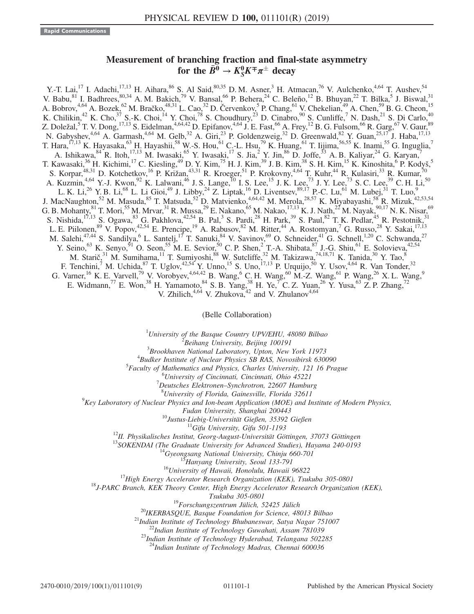## Measurement of branching fraction and final-state asymmetry for the  $\bar{B}^0 \to K_S^0 K^\mp \pi^\pm$  decay  ${}_S^0 K^\mp \pi^\pm$  decay

Y.-T. Lai,<sup>17</sup> I. Adachi,<sup>17,13</sup> H. Aihara,<sup>86</sup> S. Al Said,<sup>80,35</sup> D. M. Asner,<sup>3</sup> H. Atmacan,<sup>76</sup> V. Aulchenko,<sup>4,64</sup> T. Aushev,<sup>54</sup> V. Babu,  $81$  I. Badhrees,  $80,34$  A. M. Bakich,  $79$  V. Bansal,  $66$  P. Behera,  $24$  C. Beleño,  $12$  B. Bhuyan,  $22$  T. Bilka,  $5$  J. Biswal,  $31$ A. Bobrov,<sup>4,64</sup> A. Bozek,<sup>62</sup> M. Bračko,<sup>48,31</sup> L. Cao,<sup>32</sup> D. Červenkov,<sup>5</sup> P. Chang,<sup>61</sup> V. Chekelian,<sup>49</sup> A. Chen,<sup>59</sup> B. G. Cheon,<sup>15</sup> K. Chilikin,<sup>42</sup> K. Cho,<sup>37</sup> S.-K. Choi,<sup>14</sup> Y. Choi,<sup>78</sup> S. Choudhury,<sup>23</sup> D. Cinabro,<sup>90</sup> S. Cunliffe,<sup>7</sup> N. Dash,<sup>21</sup> S. Di Carlo,<sup>40</sup> Z. Doležal,<sup>5</sup> T. V. Dong,<sup>17,13</sup> S. Eidelman,<sup>4,64,42</sup> D. Epifanov,<sup>4,64</sup> J. E. Fast,<sup>66</sup> A. Frey,<sup>12</sup> B. G. Fulsom,<sup>66</sup> R. Garg,<sup>67</sup> V. Gaur,<sup>89</sup> N. Gabyshev,<sup>4,64</sup> A. Garmash,<sup>4,64</sup> M. Gelb,<sup>32</sup> A. Giri,<sup>23</sup> P. Goldenzweig,<sup>32</sup> D. Greenwald,<sup>82</sup> Y. Guan,<sup>25,17</sup> J. Haba,<sup>17,13</sup> T. Hara,<sup>17,13</sup> K. Hayasaka,<sup>63</sup> H. Hayashii,<sup>58</sup> W.-S. Hou,<sup>61</sup> C.-L. Hsu,<sup>79</sup> K. Huang,<sup>61</sup> T. Iijima,<sup>56,55</sup> K. Inami,<sup>55</sup> G. Inguglia,<sup>7</sup> A. Ishikawa,  $84$  R. Itoh,  $17,13$  M. Iwasaki,  $65$  Y. Iwasaki,  $17$  S. Jia,  $2$  Y. Jin,  $86$  D. Joffe,  $33$  A. B. Kaliyar,  $24$  G. Karyan,  $7$ T. Kawasaki,<sup>36</sup> H. Kichimi,<sup>17</sup> C. Kiesling,<sup>49</sup> D. Y. Kim,<sup>75</sup> H. J. Kim,<sup>39</sup> J. B. Kim,<sup>38</sup> S. H. Kim,<sup>15</sup> K. Kinoshita,<sup>6</sup> P. Kodyš,<sup>5</sup> S. Korpar,<sup>48,31</sup> D. Kotchetkov,<sup>16</sup> P. Križan,<sup>43,31</sup> R. Kroeger,<sup>51</sup> P. Krokovny,<sup>4,64</sup> T. Kuhr,<sup>44</sup> R. Kulasiri,<sup>33</sup> R. Kumar,<sup>70</sup> A. Kuzmin,<sup>4,64</sup> Y.-J. Kwon,<sup>92</sup> K. Lalwani,<sup>46</sup> J. S. Lange,<sup>10</sup> I. S. Lee,<sup>15</sup> J. K. Lee,<sup>73</sup> J. Y. Lee,<sup>73</sup> S. C. Lee,<sup>39</sup> C. H. Li,<sup>50</sup> L. K. Li,<sup>26</sup> Y. B. Li,<sup>68</sup> L. Li Gioi,<sup>49</sup> J. Libby,<sup>24</sup> Z. Liptak,<sup>16</sup> D. Liventsev,<sup>89,17</sup> P.-C. Lu,<sup>61</sup> M. Lubej,<sup>31</sup> T. Luo,<sup>9</sup> J. MacNaughton,<sup>52</sup> M. Masuda,<sup>85</sup> T. Matsuda,<sup>52</sup> D. Matvienko,<sup>4,64,42</sup> M. Merola,<sup>28,57</sup> K. Miyabayashi,<sup>58</sup> R. Mizuk,<sup>42,53,54</sup> G. B. Mohanty,  $81$  T. Mori,  $55$  M. Mrvar,  $31$  R. Mussa,  $2^9$  E. Nakano,  $65$  M. Nakao,  $17,13$  K. J. Nath,  $2^2$  M. Nayak,  $90,17$  N. K. Nisar,  $69$ S. Nishida,<sup>17,13</sup> S. Ogawa,<sup>83</sup> G. Pakhlova,<sup>42,54</sup> B. Pal,<sup>3</sup> S. Pardi,<sup>28</sup> H. Park,<sup>39</sup> S. Paul,<sup>82</sup> T. K. Pedlar,<sup>45</sup> R. Pestotnik,<sup>31</sup> L. E. Piilonen, <sup>89</sup> V. Popov, <sup>42,54</sup> E. Prencipe, <sup>19</sup> A. Rabusov, <sup>82</sup> M. Ritter, <sup>44</sup> A. Rostomyan, <sup>7</sup> G. Russo, <sup>28</sup> Y. Sakai, <sup>17,13</sup> M. Salehi,<sup>47,44</sup> S. Sandilya,<sup>6</sup> L. Santelj,<sup>17</sup> T. Sanuki,<sup>84</sup> V. Savinov,<sup>69</sup> O. Schneider,<sup>41</sup> G. Schnell,<sup>1,20</sup> C. Schwanda,<sup>27</sup> Y. Seino, <sup>63</sup> K. Senyo, <sup>91</sup> O. Seon, <sup>55</sup> M. E. Sevior, <sup>50</sup> C. P. Shen, <sup>2</sup> T.-A. Shibata, <sup>87</sup> J.-G. Shiu, <sup>61</sup> E. Solovieva, <sup>42,54</sup> M. Starič,<sup>31</sup> M. Sumihama,<sup>11</sup> T. Sumiyoshi,<sup>88</sup> W. Sutcliffe,<sup>32</sup> M. Takizawa,<sup>74,18,71</sup> K. Tanida,<sup>30</sup> Y. Tao,<sup>8</sup> F. Tenchini,<sup>7</sup> M. Uchida,<sup>87</sup> T. Uglov,<sup>42,54</sup> Y. Unno,<sup>15</sup> S. Uno,<sup>17,13</sup> P. Urquijo,<sup>50</sup> Y. Usov,<sup>4,64</sup> R. Van Tonder,<sup>32</sup> G. Varner, <sup>16</sup> K. E. Varvell, <sup>79</sup> V. Vorobyev, <sup>4,64,42</sup> B. Wang, <sup>6</sup> C. H. Wang, <sup>60</sup> M.-Z. Wang, <sup>61</sup> P. Wang, <sup>26</sup> X. L. Wang, <sup>9</sup> E. Widmann,<sup>77</sup> E. Won,<sup>38</sup> H. Yamamoto,<sup>84</sup> S. B. Yang,<sup>38</sup> H. Ye,<sup>7</sup> C. Z. Yuan,<sup>26</sup> Y. Yusa,<sup>63</sup> Z. P. Zhang,<sup>72</sup> V. Zhilich, $4,64$  V. Zhukova, $42$  and V. Zhulanov $4,64$ 

(Belle Collaboration)

<sup>1</sup>University of the Basque Country UPV/EHU, 48080 Bilbao  $\frac{2 \text{ B} \text{g}}{2 \text{ B} \text{g}}$  Library University, Bailing 100101

 $B$ eihang University, Beijing 100191<br>Breakhman National Labouatom, Unten Nav

 $B$ Brookhaven National Laboratory, Upton, New York 11973<br> $B_{B}$ udkar Institute of Nuclear Physics SP PAS, Novemberg 630

 $4$ Budker Institute of Nuclear Physics SB RAS, Novosibirsk 630090

<sup>5</sup>Faculty of Mathematics and Physics, Charles University, 121 16 Prague

 ${}^{6}$ University of Cincinnati, Cincinnati, Ohio 45221

 $^7$ Deutsches Elektronen–Synchrotron, 22607 Hamburg  $^8$ University of Florida, Gainesville, Florida 32611

<sup>8</sup>University of Florida, Gainesville, Florida 32611<br><sup>9</sup>Key Laboratory of Nuclear Physics and Ion-beam Application (MOE) and Institute of Modern Physics,

Fudan University, Shanghai 200443<br><sup>10</sup>Justus-Liebig-Universität Gießen, 35392 Gießen<br><sup>11</sup>Gifu University, Gifu 501-1193<br><sup>12</sup>II. Physikalisches Institut, Georg-August-Universität Göttingen, 37073 Göttingen<br><sup>13</sup>SOKENDAI (The

Tsukuba 305-0801<br><sup>19</sup>Forschungszentrum Jülich, 52425 Jülich<br><sup>20</sup>IKERBASQUE, Basque Foundation for Science, 48013 Bilbao<br><sup>21</sup>Indian Institute of Technology Bhubaneswar, Satya Nagar 751007<br><sup>22</sup>Indian Institute of Technology

<sup>24</sup>Indian Institute of Technology Madras, Chennai 600036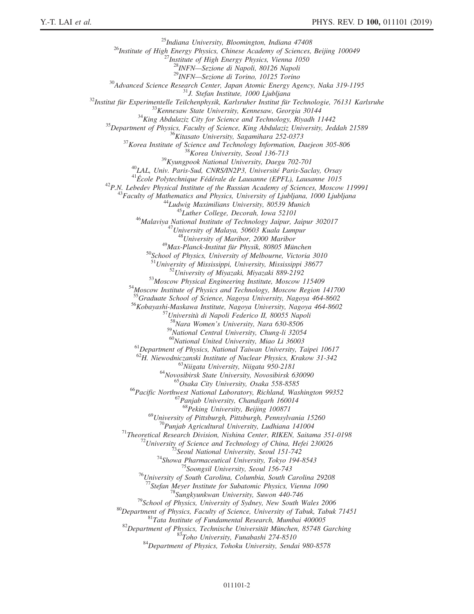<sup>25</sup>Indiana University, Bloomington, Indiana 47408<br><sup>26</sup>Institute of High Energy Physics, Chinese Academy of Sciences, Beijing 100049<br><sup>27</sup>Institute of High Energy Physics, Vienna 1050<br><sup>28</sup>INFN—Sezione di Napoli, 80126 Napo  $\begin{tabular}{c c c c c c c c} \multicolumn{1}{c}{\textbf{28}} \begin{tabular}{c} \multicolumn{1}{c}{\textbf{28}} \multicolumn{1}{c}{\textbf{28}} \multicolumn{1}{c}{\textbf{29}} \multicolumn{1}{c}{\textbf{29}} \multicolumn{1}{c}{\textbf{29}} \multicolumn{1}{c}{\textbf{29}} \multicolumn{1}{c}{\textbf{29}} \multicolumn{1}{c}{\textbf{29}} \multicolumn{1}{c}{\textbf{29}} \multicolumn{1}{c}{\textbf{29}} \multicolumn{1}{c}{\textbf{29}} \multicolumn{$ <sup>50</sup>School of Physics, University of Melbourne, Victoria 3010<br><sup>51</sup>University of Mississippi, University, Mississippi 38677<br><sup>52</sup>University of Miyazaki, Miyazaki 889-2192<br><sup>53</sup>Moscow Physical Engineering Institute, Moscow 11 <sup>56</sup>Kobayashi-Maskawa Institute, Nagoya University, Nagoya 464-8602<br><sup>57</sup>Università di Napoli Federico II, 80055 Napoli<br><sup>58</sup>Nara Women's University, Nara 630-8506  $^{59}$ National Central University, Chung-li 32054<br> $^{60}$ National United University, Miao Li 36003 <sup>61</sup>Department of Physics, National Taiwan University, Taipei 10617<br><sup>62</sup>H. Niewodniczanski Institute of Nuclear Physics, Krakow 31-342 <sup>63</sup>Niigata University, Niigata 950-2181<br><sup>64</sup>Novosibirsk State University, Novosibirsk 630090<br><sup>65</sup>Osaka City University, Osaka 558-8585<br><sup>66</sup>Pacific Northwest National Laboratory, Richland, Washington 99352<br><sup>67</sup>Panjab Univ  $^{68}$ Peking University, Beijing 100871<br><sup>69</sup>University of Pittsburgh, Pittsburgh, Pennsylvania 15260 <sup>70</sup>Punjab Agricultural University, Ludhiana 141004<br><sup>71</sup>Theoretical Research Division, Nishina Center, RIKEN, Saitama 351-0198<br><sup>72</sup>University of Science and Technology of China, Hefei 230026<br><sup>73</sup>Seoul National University, <sup>78</sup>Sungkyunkwan University, Suwon 440-746<br><sup>79</sup>School of Physics, University of Sydney, New South Wales 2006<br><sup>80</sup>Department of Physics, Faculty of Science, University of Tabuk, Tabuk 71451<br><sup>81</sup>Tata Institute of Fundamenta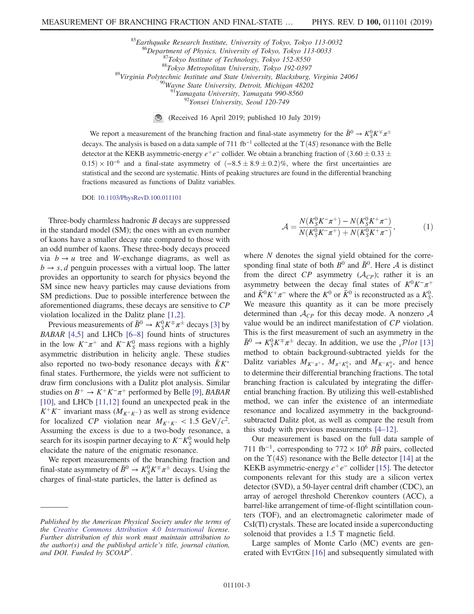<sup>85</sup>Earthquake Research Institute, University of Tokyo, Tokyo 113-0032<br><sup>86</sup>Department of Physics, University of Tokyo, Tokyo 113-0033<br><sup>87</sup>Tokyo Institute of Technology, Tokyo 152-8550<br><sup>88</sup>Tokyo Metropolitan University, To

 $\bigcirc$ (Received 16 April 2019; published 10 July 2019)

We report a measurement of the branching fraction and final-state asymmetry for the  $\bar{B}^0 \to K_S^0 K^{\pm} \pi^{\pm}$ decays. The analysis is based on a data sample of 711 fb<sup>-1</sup> collected at the  $\Upsilon(4S)$  resonance with the Belle detector at the KEKB asymmetric-energy  $e^+e^-$  collider. We obtain a branching fraction of  $(3.60 \pm 0.33 \pm 0.35)$  $0.15) \times 10^{-6}$  and a final-state asymmetry of  $(-8.5 \pm 8.9 \pm 0.2)\%$ , where the first uncertainties are statistical and the second are systematic. Hints of peaking structures are found in the differential branching fractions measured as functions of Dalitz variables.

DOI: [10.1103/PhysRevD.100.011101](https://doi.org/10.1103/PhysRevD.100.011101)

Three-body charmless hadronic B decays are suppressed in the standard model (SM); the ones with an even number of kaons have a smaller decay rate compared to those with an odd number of kaons. These three-body decays proceed via  $b \rightarrow u$  tree and W-exchange diagrams, as well as  $b \rightarrow s$ , d penguin processes with a virtual loop. The latter provides an opportunity to search for physics beyond the SM since new heavy particles may cause deviations from SM predictions. Due to possible interference between the aforementioned diagrams, these decays are sensitive to CP violation localized in the Dalitz plane [\[1,2\].](#page-7-0)

Previous measurements of  $\bar{B}^0 \to K_S^0 K^\mp \pi^\pm$  decays [\[3\]](#page-7-1) by BABAR [\[4,5\]](#page-7-2) and LHCb [\[6](#page-7-3)–8] found hints of structures in the low  $K^-\pi^+$  and  $K^-K^0_S$  mass regions with a highly asymmetric distribution in helicity angle. These studies also reported no two-body resonance decays with  $KK^*$ final states. Furthermore, the yields were not sufficient to draw firm conclusions with a Dalitz plot analysis. Similar studies on  $B^+ \to K^+K^-\pi^+$  performed by Belle [\[9\]](#page-7-4), BABAR [\[10\]](#page-7-5), and LHCb [\[11,12\]](#page-7-6) found an unexpected peak in the  $K^+K^-$  invariant mass ( $M_{K^+K^-}$ ) as well as strong evidence for localized CP violation near  $M_{K^+K^-}$  < 1.5 GeV/ $c^2$ . Assuming the excess is due to a two-body resonance, a search for its isospin partner decaying to  $K^-K^0_S$  would help elucidate the nature of the enigmatic resonance.

We report measurements of the branching fraction and final-state asymmetry of  $\bar{B}^0 \to K_S^0 K^\mp \pi^\pm$  decays. Using the charges of final-state particles, the latter is defined as

$$
\mathcal{A} = \frac{N(K_S^0 K^- \pi^+) - N(K_S^0 K^+ \pi^-)}{N(K_S^0 K^- \pi^+) + N(K_S^0 K^+ \pi^-)},
$$
(1)

where N denotes the signal yield obtained for the corresponding final state of both  $B^0$  and  $\bar{B}^0$ . Here A is distinct from the direct CP asymmetry  $(A_{CP})$ ; rather it is an asymmetry between the decay final states of  $K^0K^-\pi^+$ and  $\bar{K}^0 K^+ \pi^-$  where the  $K^0$  or  $\bar{K}^0$  is reconstructed as a  $K^0_S$ . We measure this quantity as it can be more precisely determined than  $\mathcal{A}_{CP}$  for this decay mode. A nonzero  $\mathcal A$ value would be an indirect manifestation of CP violation. This is the first measurement of such an asymmetry in the  $\bar{B}^0 \to K_S^0 K^\mp \pi^\pm$  decay. In addition, we use the  ${}_{s}\mathcal{P}lot$  [\[13\]](#page-7-7) method to obtain background-subtracted yields for the Dalitz variables  $M_{K^-\pi^+}$ ,  $M_{\pi^+K^0_S}$ , and  $M_{K^-K^0_S}$ , and hence to determine their differential branching fractions. The total branching fraction is calculated by integrating the differential branching fraction. By utilizing this well-established method, we can infer the existence of an intermediate resonance and localized asymmetry in the backgroundsubtracted Dalitz plot, as well as compare the result from this study with previous measurements [4–[12\].](#page-7-2)

Our measurement is based on the full data sample of 711 fb<sup>-1</sup>, corresponding to  $772 \times 10^6$  BB pairs, collected on the  $\Upsilon(4S)$  resonance with the Belle detector [\[14\]](#page-7-8) at the KEKB asymmetric-energy  $e^+e^-$  collider [\[15\]](#page-8-0). The detector components relevant for this study are a silicon vertex detector (SVD), a 50-layer central drift chamber (CDC), an array of aerogel threshold Cherenkov counters (ACC), a barrel-like arrangement of time-of-flight scintillation counters (TOF), and an electromagnetic calorimeter made of CsI(Tl) crystals. These are located inside a superconducting solenoid that provides a 1.5 T magnetic field.

Large samples of Monte Carlo (MC) events are generated with EVTGEN [\[16\]](#page-8-1) and subsequently simulated with

Published by the American Physical Society under the terms of the [Creative Commons Attribution 4.0 International](https://creativecommons.org/licenses/by/4.0/) license. Further distribution of this work must maintain attribution to the author(s) and the published article's title, journal citation, and DOI. Funded by SCOAP<sup>3</sup>.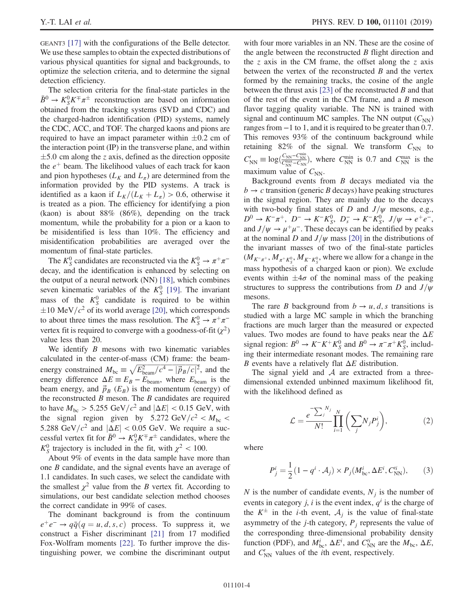GEANT3 [\[17\]](#page-8-2) with the configurations of the Belle detector. We use these samples to obtain the expected distributions of various physical quantities for signal and backgrounds, to optimize the selection criteria, and to determine the signal detection efficiency.

The selection criteria for the final-state particles in the  $\bar{B}^0 \to K_S^0 K^\mp \pi^\pm$  reconstruction are based on information obtained from the tracking systems (SVD and CDC) and the charged-hadron identification (PID) systems, namely the CDC, ACC, and TOF. The charged kaons and pions are required to have an impact parameter within  $\pm 0.2$  cm of the interaction point (IP) in the transverse plane, and within  $\pm$ 5.0 cm along the z axis, defined as the direction opposite the  $e^+$  beam. The likelihood values of each track for kaon and pion hypotheses ( $L_K$  and  $L_{\pi}$ ) are determined from the information provided by the PID systems. A track is identified as a kaon if  $L_K/(L_K + L_\pi) > 0.6$ , otherwise it is treated as a pion. The efficiency for identifying a pion (kaon) is about 88% (86%), depending on the track momentum, while the probability for a pion or a kaon to be misidentified is less than 10%. The efficiency and misidentification probabilities are averaged over the momentum of final-state particles.

The  $K_S^0$  candidates are reconstructed via the  $K_S^0 \to \pi^+ \pi^$ decay, and the identification is enhanced by selecting on the output of a neural network (NN) [\[18\]](#page-8-3), which combines seven kinematic variables of the  $K_S^0$  [\[19\].](#page-8-4) The invariant mass of the  $K_S^0$  candidate is required to be within  $\pm 10$  MeV/ $c^2$  of its world average [\[20\],](#page-8-5) which corresponds to about three times the mass resolution. The  $K_S^0 \to \pi^+\pi^$ vertex fit is required to converge with a goodness-of-fit  $(\chi^2)$ value less than 20.

We identify  $B$  mesons with two kinematic variables calculated in the center-of-mass (CM) frame: the beamcalculated in the center-of-mass (CM) frame: the beam-<br>energy constrained  $M_{bc} \equiv \sqrt{E_{\text{beam}}^2/c^4 - |\vec{p}_B/c|^2}$ , and the energy difference  $\Delta E \equiv E_B - E_{\text{beam}}$ , where  $E_{\text{beam}}$  is the beam energy, and  $\vec{p}_B$  ( $E_B$ ) is the momentum (energy) of the reconstructed  $B$  meson. The  $B$  candidates are required to have  $M_{bc} > 5.255 \text{ GeV}/c^2$  and  $|\Delta E| < 0.15 \text{ GeV}$ , with the signal region given by 5.272 GeV/ $c^2 < M_{bc}$ 5.288 GeV/ $c^2$  and  $|\Delta E|$  < 0.05 GeV. We require a successful vertex fit for  $\bar{B}^0 \to K_S^0 K^\pm \pi^\pm$  candidates, where the  $K_S^0$  trajectory is included in the fit, with  $\chi^2$  < 100.

About 9% of events in the data sample have more than one B candidate, and the signal events have an average of 1.1 candidates. In such cases, we select the candidate with the smallest  $\chi^2$  value from the B vertex fit. According to simulations, our best candidate selection method chooses the correct candidate in 99% of cases.

The dominant background is from the continuum  $e^+e^- \rightarrow q\bar{q}(q=u, d, s, c)$  process. To suppress it, we construct a Fisher discriminant [\[21\]](#page-8-6) from 17 modified Fox-Wolfram moments [\[22\].](#page-8-7) To further improve the distinguishing power, we combine the discriminant output with four more variables in an NN. These are the cosine of the angle between the reconstructed B flight direction and the z axis in the CM frame, the offset along the z axis between the vertex of the reconstructed  $B$  and the vertex formed by the remaining tracks, the cosine of the angle between the thrust axis [\[23\]](#page-8-8) of the reconstructed  $B$  and that of the rest of the event in the CM frame, and a B meson flavor tagging quality variable. The NN is trained with signal and continuum MC samples. The NN output  $(C_{NN})$ ranges from −1 to 1, and it is required to be greater than 0.7. This removes 93% of the continuum background while retaining 82% of the signal. We transform  $C_{NN}$  to  $C_{NN}' \equiv \log(\frac{C_{NN}-C_{NN}^{min}}{C_{NN}^{max}-C_{NN}})$ , where  $C_{NN}^{min}$  is 0.7 and  $C_{NN}^{max}$  is the maximum value of  $C_{NN}$ .

Background events from  $B$  decays mediated via the  $b \rightarrow c$  transition (generic B decays) have peaking structures in the signal region. They are mainly due to the decays with two-body final states of D and  $J/\psi$  mesons, e.g.,  $D^0 \to K^- \pi^+$ ,  $D^- \to K^- K^0_S$ ,  $D^-_s \to K^- K^0_S$ ,  $J/\psi \to e^+ e^-$ , and  $J/\psi \rightarrow \mu^+\mu^-$ . These decays can be identified by peaks at the nominal D and  $J/\psi$  mass [\[20\]](#page-8-5) in the distributions of the invariant masses of two of the final-state particles  $(M_{K^-\pi^+}, M_{\pi^+K^0_S}, M_{K^-\pi^0_S}$ , where we allow for a change in the mass hypothesis of a charged kaon or pion). We exclude events within  $\pm 4\sigma$  of the nominal mass of the peaking structures to suppress the contributions from D and  $J/\psi$ mesons.

The rare B background from  $b \rightarrow u, d, s$  transitions is studied with a large MC sample in which the branching fractions are much larger than the measured or expected values. Two modes are found to have peaks near the  $\Delta E$ signal region:  $B^0 \to K^- K^+ K^0_S$  and  $B^0 \to \pi^- \pi^+ K^0_S$ , including their intermediate resonant modes. The remaining rare B events have a relatively flat  $\Delta E$  distribution.

The signal yield and  $A$  are extracted from a threedimensional extended unbinned maximum likelihood fit, with the likelihood defined as

$$
\mathcal{L} = \frac{e^{-\sum_{j}^{N_j} N_j}}{N!} \prod_{i=1}^{N} \left( \sum_{j} N_j P_j^i \right),\tag{2}
$$

where

$$
P_j^i = \frac{1}{2} (1 - q^i \cdot \mathcal{A}_j) \times P_j(M_{\text{bc}}^i, \Delta E^i, C_{\text{NN}}^i), \tag{3}
$$

N is the number of candidate events,  $N_j$  is the number of events in category j, i is the event index,  $q<sup>i</sup>$  is the charge of the  $K^{\pm}$  in the *i*-th event,  $A_i$  is the value of final-state asymmetry of the *j*-th category,  $P_i$  represents the value of the corresponding three-dimensional probability density function (PDF), and  $M_{bc}^i$ ,  $\Delta E^i$ , and  $C_{NN}^{i}$  are the  $M_{bc}$ ,  $\Delta E$ , and  $C_{\text{NN}}'$  values of the *i*th event, respectively.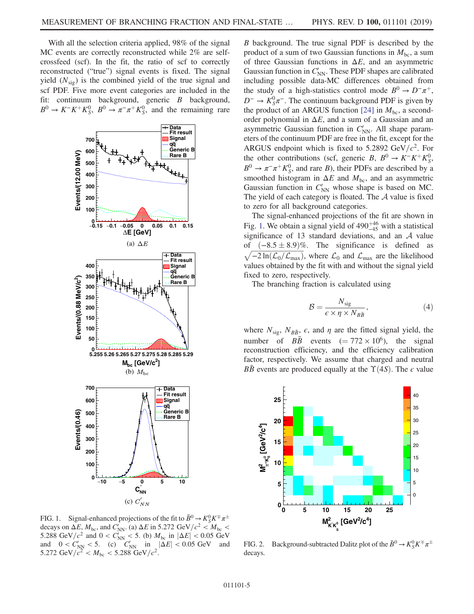With all the selection criteria applied, 98% of the signal MC events are correctly reconstructed while 2% are selfcrossfeed (scf). In the fit, the ratio of scf to correctly reconstructed ("true") signal events is fixed. The signal yield  $(N_{sig})$  is the combined yield of the true signal and scf PDF. Five more event categories are included in the fit: continuum background, generic B background,  $B^0 \to K^-K^+K^0_S$ ,  $B^0 \to \pi^-\pi^+K^0_S$ , and the remaining rare

<span id="page-4-0"></span>

FIG. 1. Signal-enhanced projections of the fit to  $\bar{B}^0 \to K_S^0 K^{\pm} \pi^{\pm}$ decays on  $\Delta E$ ,  $M_{\text{bc}}$ , and  $C_{\text{NN}}$ . (a)  $\Delta E$  in 5.272 GeV/ $c^2 < M_{\text{bc}}$ 5.288 GeV/ $c^2$  and  $0 < C_{NN}$  < 5. (b)  $M_{bc}$  in  $|\Delta E|$  < 0.05 GeV and  $0 < C_{NN} < 5$ . (c)  $C_{NN}$  in  $|\Delta E| < 0.05$  GeV and 5.272 GeV/ $c^2 < M_{bc} < 5.288$  GeV/ $c^2$ .

B background. The true signal PDF is described by the product of a sum of two Gaussian functions in  $M_{bc}$ , a sum of three Gaussian functions in  $\Delta E$ , and an asymmetric Gaussian function in  $C_{NN}$ . These PDF shapes are calibrated including possible data-MC differences obtained from the study of a high-statistics control mode  $B^0 \to D^-\pi^+,$  $D^{-} \rightarrow K_{S}^{0} \pi^{-}$ . The continuum background PDF is given by the product of an ARGUS function [\[24\]](#page-8-9) in  $M_{bc}$ , a secondorder polynomial in  $\Delta E$ , and a sum of a Gaussian and an asymmetric Gaussian function in  $C'_{NN}$ . All shape parameters of the continuum PDF are free in the fit, except for the ARGUS endpoint which is fixed to 5.2892 GeV/ $c^2$ . For the other contributions (scf, generic B,  $B^0 \to K^-K^+K^0_S$ ,  $B^0 \to \pi^- \pi^+ K^0_S$ , and rare B), their PDFs are described by a smoothed histogram in  $\Delta E$  and  $M_{\text{bc}}$ , and an asymmetric Gaussian function in  $C_{NN}$  whose shape is based on MC. The yield of each category is floated. The  $A$  value is fixed to zero for all background categories.

The signal-enhanced projections of the fit are shown in Fig. [1.](#page-4-0) We obtain a signal yield of  $490^{+46}_{-45}$  with a statistical significance of 13 standard deviations, and an  $A$  value of  $(-8.5 \pm 8.9)$ %. The significance is defined as  $\sqrt{-2 \ln(\mathcal{L}_0/\mathcal{L}_{\text{max}})}$ , where  $\mathcal{L}_0$  and  $\mathcal{L}_{\text{max}}$  are the likelihood values obtained by the fit with and without the signal yield fixed to zero, respectively.

The branching fraction is calculated using

$$
\mathcal{B} = \frac{N_{\text{sig}}}{\epsilon \times \eta \times N_{B\bar{B}}},\tag{4}
$$

where  $N_{\rm sig}$ ,  $N_{B\bar{B}}$ ,  $\epsilon$ , and  $\eta$  are the fitted signal yield, the number of  $B\bar{B}$  events (= 772 × 10<sup>6</sup>), the signal reconstruction efficiency, and the efficiency calibration factor, respectively. We assume that charged and neutral *BB* events are produced equally at the  $\Upsilon(4S)$ . The  $\epsilon$  value

<span id="page-4-1"></span>

FIG. 2. Background-subtracted Dalitz plot of the  $\bar{B}^0 \to K_S^0 K^\mp \pi^\pm$ decays.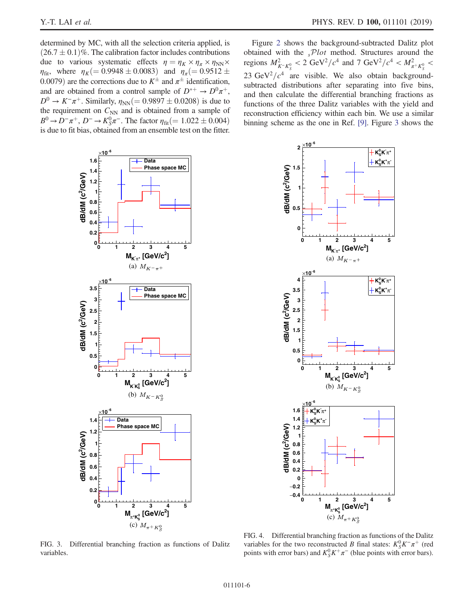determined by MC, with all the selection criteria applied, is  $(26.7 \pm 0.1)\%$ . The calibration factor includes contributions due to various systematic effects  $\eta = \eta_K \times \eta_{\pi} \times \eta_{NN} \times$  $\eta_{\rm fit}$ , where  $\eta_K$ (= 0.9948 ± 0.0083) and  $\eta_{\pi}$ (= 0.9512 ± 0.0079) are the corrections due to  $K^{\pm}$  and  $\pi^{\pm}$  identification, and are obtained from a control sample of  $D^{*+} \to D^0 \pi^+$ ,  $D^{0} \to K^{-}\pi^{+}$ . Similarly,  $\eta_{NN} (= 0.9897 \pm 0.0208)$  is due to the requirement on  $C_{NN}$  and is obtained from a sample of  $B^0 \to D^-\pi^+$ ,  $D^- \to K_S^0 \pi^-$ . The factor  $\eta_{\text{fit}}(= 1.022 \pm 0.004)$ is due to fit bias, obtained from an ensemble test on the fitter.

Figure [2](#page-4-1) shows the background-subtracted Dalitz plot obtained with the  $sPlot$  method. Structures around the regions  $M_{K^-K^0_S}^2 < 2 \text{ GeV}^2/c^4$  and 7  $\text{GeV}^2/c^4 < M_{\pi^+K^0_S}^2 <$ 23 GeV<sup>2</sup>/ $c<sup>4</sup>$  are visible. We also obtain backgroundsubtracted distributions after separating into five bins, and then calculate the differential branching fractions as functions of the three Dalitz variables with the yield and reconstruction efficiency within each bin. We use a similar binning scheme as the one in Ref. [\[9\].](#page-7-4) Figure [3](#page-5-0) shows the

<span id="page-5-0"></span>

<span id="page-5-1"></span>

FIG. 3. Differential branching fraction as functions of Dalitz variables.

FIG. 4. Differential branching fraction as functions of the Dalitz variables for the two reconstructed B final states:  $K_S^0 K^-\pi^+$  (red points with error bars) and  $K_S^0 K^+\pi^-$  (blue points with error bars).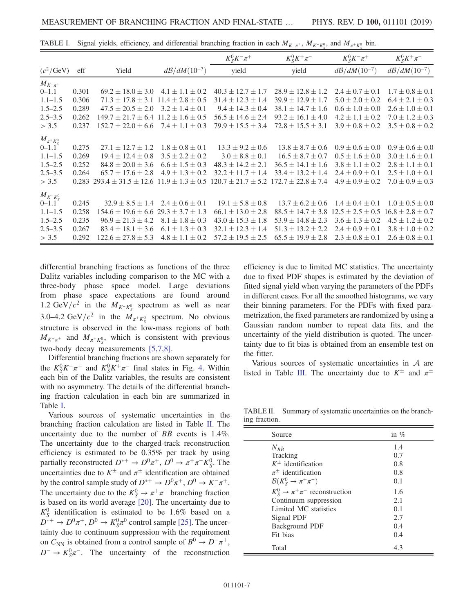|                         |       |                                                 |                            | $K_{S}^{0}K^{-}\pi^{+}$  | $K_S^0 K^+ \pi^-$        | $K_{S}^{0}K^{-}\pi^{+}$    | $K_S^0 K^+ \pi^-$          |
|-------------------------|-------|-------------------------------------------------|----------------------------|--------------------------|--------------------------|----------------------------|----------------------------|
| $(c^2/\text{GeV})$      | eff   | Yield                                           | $d\mathcal{B}/dM(10^{-7})$ | yield                    | yield                    | $d\mathcal{B}/dM(10^{-7})$ | $d\mathcal{B}/dM(10^{-7})$ |
| $M_{K^-\pi^+}$          |       |                                                 |                            |                          |                          |                            |                            |
| $0 - 1.1$               | 0.301 | $69.2 \pm 18.0 \pm 3.0$                         | $4.1 \pm 1.1 \pm 0.2$      | $40.3 \pm 12.7 \pm 1.7$  | $28.9 \pm 12.8 \pm 1.2$  | $2.4 \pm 0.7 \pm 0.1$      | $1.7 \pm 0.8 \pm 0.1$      |
| $1.1 - 1.5$             | 0.306 | $71.3 \pm 17.8 \pm 3.1$                         | $11.4 \pm 2.8 \pm 0.5$     | $31.4 \pm 12.3 \pm 1.4$  | $39.9 \pm 12.9 \pm 1.7$  | $5.0 \pm 2.0 \pm 0.2$      | $6.4 \pm 2.1 \pm 0.3$      |
| $1.5 - 2.5$             | 0.289 | $47.5 \pm 20.5 \pm 2.0$                         | $3.2 \pm 1.4 \pm 0.1$      | $9.4 \pm 14.3 \pm 0.4$   | $38.1 \pm 14.7 \pm 1.6$  | $0.6 \pm 1.0 \pm 0.0$      | $2.6 \pm 1.0 \pm 0.1$      |
| $2.5 - 3.5$             | 0.262 | $149.7 \pm 21.7 \pm 6.4$ $11.2 \pm 1.6 \pm 0.5$ |                            | $56.5 \pm 14.6 \pm 2.4$  | $93.2 \pm 16.1 \pm 4.0$  | $4.2 \pm 1.1 \pm 0.2$      | $7.0 \pm 1.2 \pm 0.3$      |
| > 3.5                   | 0.237 | $152.7 \pm 22.0 \pm 6.6$                        | $7.4 \pm 1.1 \pm 0.3$      | $79.9 \pm 15.5 \pm 3.4$  | $72.8 \pm 15.5 \pm 3.1$  | $3.9 \pm 0.8 \pm 0.2$      | $3.5 \pm 0.8 \pm 0.2$      |
| $M_{\pi^+K^0_S}$        |       |                                                 |                            |                          |                          |                            |                            |
| $0 - 1.1$               | 0.275 | $27.1 \pm 12.7 \pm 1.2$                         | $1.8 \pm 0.8 \pm 0.1$      | $13.3 \pm 9.2 \pm 0.6$   | $13.8 \pm 8.7 \pm 0.6$   | $0.9 \pm 0.6 \pm 0.0$      | $0.9 \pm 0.6 \pm 0.0$      |
| $1.1 - 1.5$             | 0.269 | $19.4 \pm 12.4 \pm 0.8$                         | $3.5 \pm 2.2 \pm 0.2$      | $3.0 \pm 8.8 \pm 0.1$    | $16.5 \pm 8.7 \pm 0.7$   | $0.5 \pm 1.6 \pm 0.0$      | $3.0 \pm 1.6 \pm 0.1$      |
| $1.5 - 2.5$             | 0.252 | $84.8 \pm 20.0 \pm 3.6$                         | $6.6 \pm 1.5 \pm 0.3$      | $48.3 \pm 14.2 \pm 2.1$  | $36.5 \pm 14.1 \pm 1.6$  | $3.8 \pm 1.1 \pm 0.2$      | $2.8 \pm 1.1 \pm 0.1$      |
| $2.5 - 3.5$             | 0.264 | $65.7 \pm 17.6 \pm 2.8$                         | $4.9 \pm 1.3 \pm 0.2$      | $32.2 + 11.7 + 1.4$      | $33.4 \pm 13.2 \pm 1.4$  | $2.4 \pm 0.9 \pm 0.1$      | $2.5 \pm 1.0 \pm 0.1$      |
| > 3.5                   | 0.283 | $293.4 \pm 31.5 \pm 12.6$                       | $11.9 \pm 1.3 \pm 0.5$     | $120.7 \pm 21.7 \pm 5.2$ | $172.7 \pm 22.8 \pm 7.4$ | $4.9 \pm 0.9 \pm 0.2$      | $7.0 \pm 0.9 \pm 0.3$      |
|                         |       |                                                 |                            |                          |                          |                            |                            |
| $M_{K^-K^0_S}$<br>0-1.1 | 0.245 | $32.9 \pm 8.5 \pm 1.4$                          | $2.4 \pm 0.6 \pm 0.1$      | $19.1 \pm 5.8 \pm 0.8$   | $13.7 \pm 6.2 \pm 0.6$   | $1.4 \pm 0.4 \pm 0.1$      | $1.0 \pm 0.5 \pm 0.0$      |
| $1.1 - 1.5$             | 0.258 | $154.6 \pm 19.6 \pm 6.6$                        | $29.3 \pm 3.7 \pm 1.3$     | $66.1 \pm 13.0 \pm 2.8$  | $88.5 \pm 14.7 \pm 3.8$  | $12.5 \pm 2.5 \pm 0.5$     | $16.8 \pm 2.8 \pm 0.7$     |
| $1.5 - 2.5$             | 0.235 | $96.9 \pm 21.3 \pm 4.2$                         | $8.1 \pm 1.8 \pm 0.3$      | $43.0 \pm 15.3 \pm 1.8$  | $53.9 \pm 14.8 \pm 2.3$  | $3.6 \pm 1.3 \pm 0.2$      | $4.5 \pm 1.2 \pm 0.2$      |
| $2.5 - 3.5$             | 0.267 | $83.4 \pm 18.1 \pm 3.6$                         | $6.1 \pm 1.3 \pm 0.3$      | $32.1 \pm 12.3 \pm 1.4$  | $51.3 \pm 13.2 \pm 2.2$  | $2.4 \pm 0.9 \pm 0.1$      | $3.8 \pm 1.0 \pm 0.2$      |
| > 3.5                   | 0.292 | $122.6 \pm 27.8 \pm 5.3$                        | $4.8 \pm 1.1 \pm 0.2$      | $57.2 \pm 19.5 \pm 2.5$  | $65.5 \pm 19.9 \pm 2.8$  | $2.3 \pm 0.8 \pm 0.1$      | $2.6 \pm 0.8 \pm 0.1$      |

<span id="page-6-0"></span>TABLE I. Signal yields, efficiency, and differential branching fraction in each  $M_{K^-\pi^+}$ ,  $M_{K^-\pi^0}$ , and  $M_{\pi^+K^0_S}$  bin.

differential branching fractions as functions of the three Dalitz variables including comparison to the MC with a three-body phase space model. Large deviations from phase space expectations are found around 1.2 GeV/ $c^2$  in the  $M_{K^-K^0_S}$  spectrum as well as near 3.0–4.2 GeV/ $c^2$  in the  $M_{\pi^+ K^0_S}$  spectrum. No obvious structure is observed in the low-mass regions of both  $M_{K^-\pi^+}$  and  $M_{\pi^+K^0_S}$ , which is consistent with previous two-body decay measurements [\[5,7,8\].](#page-7-9)

Differential branching fractions are shown separately for the  $K_S^0 K^-\pi^+$  and  $K_S^0 K^+\pi^-$  final states in Fig. [4.](#page-5-1) Within each bin of the Dalitz variables, the results are consistent with no asymmetry. The details of the differential branching fraction calculation in each bin are summarized in Table [I.](#page-6-0)

Various sources of systematic uncertainties in the branching fraction calculation are listed in Table [II.](#page-6-1) The uncertainty due to the number of  $B\bar{B}$  events is 1.4%. The uncertainty due to the charged-track reconstruction efficiency is estimated to be 0.35% per track by using partially reconstructed  $D^{*+} \to D^0 \pi^+$ ,  $\overline{D}^0 \to \pi^+ \pi^- K^0_S$ . The uncertainties due to  $K^{\pm}$  and  $\pi^{\pm}$  identification are obtained by the control sample study of  $D^{*+} \to D^0 \pi^+, D^0 \to K^- \pi^+.$ The uncertainty due to the  $K_S^0 \to \pi^+ \pi^-$  branching fraction is based on its world average [\[20\].](#page-8-5) The uncertainty due to  $K_S^0$  identification is estimated to be 1.6% based on a  $D^{*+} \to D^0 \pi^+, D^0 \to K_S^0 \pi^0$  control sample [\[25\]](#page-8-10). The uncertainty due to continuum suppression with the requirement on  $C_{NN}$  is obtained from a control sample of  $B^0 \to D^-\pi^+$ ,  $D^- \rightarrow K_S^0 \pi^-$ . The uncertainty of the reconstruction efficiency is due to limited MC statistics. The uncertainty due to fixed PDF shapes is estimated by the deviation of fitted signal yield when varying the parameters of the PDFs in different cases. For all the smoothed histograms, we vary their binning parameters. For the PDFs with fixed parametrization, the fixed parameters are randomized by using a Gaussian random number to repeat data fits, and the uncertainty of the yield distribution is quoted. The uncertainty due to fit bias is obtained from an ensemble test on the fitter.

Various sources of systematic uncertainties in A are listed in Table [III](#page-7-10). The uncertainty due to  $K^{\pm}$  and  $\pi^{\pm}$ 

<span id="page-6-1"></span>TABLE II. Summary of systematic uncertainties on the branching fraction.

| Source                                              | in $\%$ |
|-----------------------------------------------------|---------|
| $N_{B\bar{B}}$                                      | 1.4     |
| Tracking                                            | 0.7     |
| $K^{\pm}$ identification                            | 0.8     |
| $\pi^{\pm}$ identification                          | 0.8     |
| $\mathcal{B}(K_{S}^{0} \rightarrow \pi^{+}\pi^{-})$ | 0.1     |
| $K_S^0 \rightarrow \pi^+\pi^-$ reconstruction       | 1.6     |
| Continuum suppression                               | 2.1     |
| Limited MC statistics                               | 0.1     |
| Signal PDF                                          | 2.7     |
| Background PDF                                      | 0.4     |
| Fit bias                                            | 0.4     |
| Total                                               | 4.3     |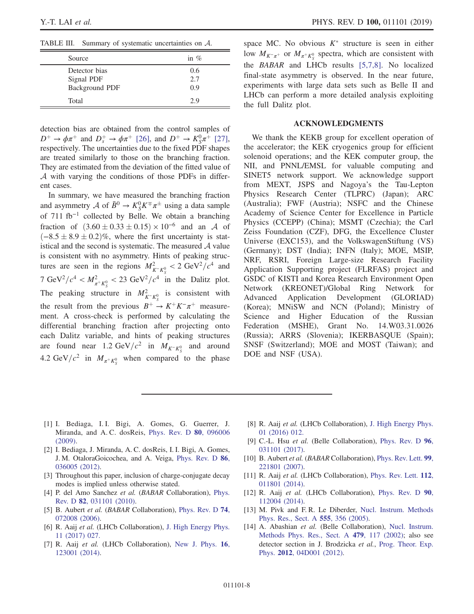<span id="page-7-10"></span>TABLE III. Summary of systematic uncertainties on A.

| Source                                        | in $\%$           |
|-----------------------------------------------|-------------------|
| Detector bias<br>Signal PDF<br>Background PDF | 0.6<br>2.7<br>0.9 |
| Total                                         | 2.9               |

detection bias are obtained from the control samples of  $D^+ \to \phi \pi^+$  and  $D_s^+ \to \phi \pi^+$  [\[26\]](#page-8-11), and  $D^+ \to K_S^0 \pi^+$  [\[27\]](#page-8-12), respectively. The uncertainties due to the fixed PDF shapes are treated similarly to those on the branching fraction. They are estimated from the deviation of the fitted value of A with varying the conditions of those PDFs in different cases.

In summary, we have measured the branching fraction and asymmetry A of  $\bar{B}^0 \to K_S^0 K^{\mp} \pi^{\pm}$  using a data sample of 711 fb<sup>−</sup><sup>1</sup> collected by Belle. We obtain a branching fraction of  $(3.60 \pm 0.33 \pm 0.15) \times 10^{-6}$  and an A of  $(-8.5 \pm 8.9 \pm 0.2)\%$ , where the first uncertainty is statistical and the second is systematic. The measured  $A$  value is consistent with no asymmetry. Hints of peaking structures are seen in the regions  $M_{K-K_S^0}^2 < 2 \text{ GeV}^2/c^4$  and 7 GeV<sup>2</sup>/ $c^4 < M_{\pi^+ K_S^0}^2 < 23$  GeV<sup>2</sup>/ $c^4$  in the Dalitz plot. The peaking structure in  $M_{K-K_S^0}^2$  is consistent with the result from the previous  $B^+ \to K^+K^-\pi^+$  measurement. A cross-check is performed by calculating the differential branching fraction after projecting onto each Dalitz variable, and hints of peaking structures are found near 1.2 GeV/ $c^2$  in  $M_{K^-K^0_S}$  and around 4.2 GeV/ $c^2$  in  $M_{\pi^+ K^0_S}$  when compared to the phase space MC. No obvious  $K^*$  structure is seen in either low  $M_{K^-\pi^+}$  or  $M_{\pi^+K^0_S}$  spectra, which are consistent with the BABAR and LHCb results [\[5,7,8\]](#page-7-9). No localized final-state asymmetry is observed. In the near future, experiments with large data sets such as Belle II and LHCb can perform a more detailed analysis exploiting the full Dalitz plot.

## ACKNOWLEDGMENTS

We thank the KEKB group for excellent operation of the accelerator; the KEK cryogenics group for efficient solenoid operations; and the KEK computer group, the NII, and PNNL/EMSL for valuable computing and SINET5 network support. We acknowledge support from MEXT, JSPS and Nagoya's the Tau-Lepton Physics Research Center (TLPRC) (Japan); ARC (Australia); FWF (Austria); NSFC and the Chinese Academy of Science Center for Excellence in Particle Physics (CCEPP) (China); MSMT (Czechia); the Carl Zeiss Foundation (CZF), DFG, the Excellence Cluster Universe (EXC153), and the VolkswagenStiftung (VS) (Germany); DST (India); INFN (Italy); MOE, MSIP, NRF, RSRI, Foreign Large-size Research Facility Application Supporting project (FLRFAS) project and GSDC of KISTI and Korea Research Environment Open Network (KREONET)/Global Ring Network for Advanced Application Development (GLORIAD) (Korea); MNiSW and NCN (Poland); Ministry of Science and Higher Education of the Russian Federation (MSHE), Grant No. 14.W03.31.0026 (Russia); ARRS (Slovenia); IKERBASQUE (Spain); SNSF (Switzerland); MOE and MOST (Taiwan); and DOE and NSF (USA).

- <span id="page-7-0"></span>[1] I. Bediaga, I. I. Bigi, A. Gomes, G. Guerrer, J. Miranda, and A. C. dosReis, [Phys. Rev. D](https://doi.org/10.1103/PhysRevD.80.096006) 80, 096006 [\(2009\).](https://doi.org/10.1103/PhysRevD.80.096006)
- [2] I. Bediaga, J. Miranda, A. C. dosReis, I. I. Bigi, A. Gomes, J. M. OtaloraGoicochea, and A. Veiga, [Phys. Rev. D](https://doi.org/10.1103/PhysRevD.86.036005) 86, [036005 \(2012\).](https://doi.org/10.1103/PhysRevD.86.036005)
- <span id="page-7-1"></span>[3] Throughout this paper, inclusion of charge-conjugate decay modes is implied unless otherwise stated.
- <span id="page-7-2"></span>[4] P. del Amo Sanchez et al. (BABAR Collaboration), [Phys.](https://doi.org/10.1103/PhysRevD.82.031101) Rev. D 82[, 031101 \(2010\)](https://doi.org/10.1103/PhysRevD.82.031101).
- <span id="page-7-9"></span>[5] B. Aubert et al. (BABAR Collaboration), [Phys. Rev. D](https://doi.org/10.1103/PhysRevD.74.072008) 74, [072008 \(2006\).](https://doi.org/10.1103/PhysRevD.74.072008)
- <span id="page-7-3"></span>[6] R. Aaij et al. (LHCb Collaboration), [J. High Energy Phys.](https://doi.org/10.1007/JHEP11(2017)027) [11 \(2017\) 027.](https://doi.org/10.1007/JHEP11(2017)027)
- [7] R. Aaij et al. (LHCb Collaboration), [New J. Phys.](https://doi.org/10.1088/1367-2630/16/12/123001) 16, [123001 \(2014\).](https://doi.org/10.1088/1367-2630/16/12/123001)
- [8] R. Aaij et al. (LHCb Collaboration), [J. High Energy Phys.](https://doi.org/10.1007/JHEP01(2016)012) [01 \(2016\) 012.](https://doi.org/10.1007/JHEP01(2016)012)
- <span id="page-7-4"></span>[9] C.-L. Hsu et al. (Belle Collaboration), [Phys. Rev. D](https://doi.org/10.1103/PhysRevD.96.031101) 96, [031101 \(2017\).](https://doi.org/10.1103/PhysRevD.96.031101)
- <span id="page-7-5"></span>[10] B. Aubert et al. (BABAR Collaboration), [Phys. Rev. Lett.](https://doi.org/10.1103/PhysRevLett.99.221801) 99, [221801 \(2007\).](https://doi.org/10.1103/PhysRevLett.99.221801)
- <span id="page-7-6"></span>[11] R. Aaij et al. (LHCb Collaboration), [Phys. Rev. Lett.](https://doi.org/10.1103/PhysRevLett.112.011801) 112, [011801 \(2014\).](https://doi.org/10.1103/PhysRevLett.112.011801)
- [12] R. Aaij et al. (LHCb Collaboration), [Phys. Rev. D](https://doi.org/10.1103/PhysRevD.90.112004) 90, [112004 \(2014\).](https://doi.org/10.1103/PhysRevD.90.112004)
- <span id="page-7-7"></span>[13] M. Pivk and F.R. Le Diberder, [Nucl. Instrum. Methods](https://doi.org/10.1016/j.nima.2005.08.106) [Phys. Res., Sect. A](https://doi.org/10.1016/j.nima.2005.08.106) 555, 356 (2005).
- <span id="page-7-8"></span>[14] A. Abashian et al. (Belle Collaboration), [Nucl. Instrum.](https://doi.org/10.1016/S0168-9002(01)02013-7) [Methods Phys. Res., Sect. A](https://doi.org/10.1016/S0168-9002(01)02013-7) 479, 117 (2002); also see detector section in J. Brodzicka et al., [Prog. Theor. Exp.](https://doi.org/10.1093/ptep/pts072) Phys. 2012[, 04D001 \(2012\).](https://doi.org/10.1093/ptep/pts072)